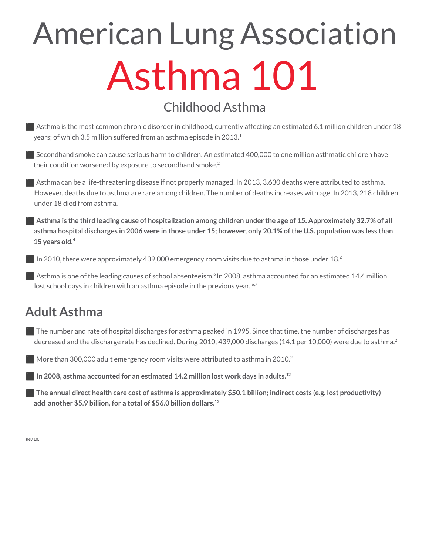# American Lung Association Asthma 101

# Childhood Asthma

■ Asthma is the most common chronic disorder in childhood, currently affecting an estimated 6.1 million children under 18 years; of which 3.5 million suffered from an asthma episode in 2013. $^1$ 

■ Secondhand smoke can cause serious harm to children. An estimated 400,000 to one million asthmatic children have their condition worsened by exposure to secondhand smoke. 2

⬛ Asthma can be a life-threatening disease if not properly managed. In 2013, 3,630 deaths were attributed to asthma. However, deaths due to asthma are rare among children. The number of deaths increases with age. In 2013, 218 children under 18 died from asthma. 1

Asthma is the third leading cause of hospitalization among children under the age of 15. Approximately 32.7% of all asthma hospital discharges in 2006 were in those under 15; however, only 20.1% of the U.S. population was less than **15 years old. 4**

In 2010, there were approximately 439,000 emergency room visits due to asthma in those under  $18<sup>2</sup>$ 

**Asthma is one of the leading causes of school absenteeism.**<sup>6</sup> In 2008, asthma accounted for an estimated 14.4 million lost school days in children with an asthma episode in the previous year. 6,7

# **Adult Asthma**

■ The number and rate of hospital discharges for asthma peaked in 1995. Since that time, the number of discharges has decreased and the discharge rate has declined. During 2010, 439,000 discharges (14.1 per 10,000) were due to asthma. 2

 $\blacksquare$  More than 300,000 adult emergency room visits were attributed to asthma in 2010.<sup>2</sup>

⬛ **In 2008, asthma accounted for an estimated 14.2 million lost work days in adults. 12**

 $\blacksquare$  The annual direct health care cost of asthma is approximately \$50.1 billion; indirect costs (e.g. lost productivity) **add another \$5.9 billion, for a total of \$56.0 billion dollars. 13**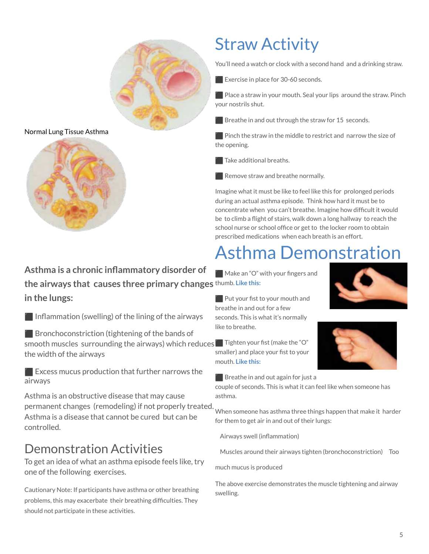

#### Normal Lung Tissue Asthma



# **Asthma is a chronic inflammatory disorder of the airways that causes three primary changes** thumb. **Like this: in the lungs:**

 $\blacksquare$  Inflammation (swelling) of the lining of the airways

**◯ Bronchoconstriction (tightening of the bands of** smooth muscles surrounding the airways) which reduces ⬛ Tighten your fist (make the "O" the width of the airways

 $\blacksquare$  Excess mucus production that further narrows the airways

Asthma is an obstructive disease that may cause permanent changes (remodeling) if not properly treated. When someone has asthma three things happen that make it harder Asthma is a disease that cannot be cured but can be controlled.

# Demonstration Activities

To get an idea of what an asthma episode feels like, try one of the following exercises.

Cautionary Note: If participants have asthma or other breathing problems, this may exacerbate their breathing difficulties. They should not participate in these activities.

# Straw Activity

You'll need a watch or clock with a second hand and a drinking straw.

Exercise in place for 30-60 seconds.

 $\blacksquare$  Place a straw in your mouth. Seal your lips around the straw. Pinch your nostrils shut.

 $\blacksquare$  Breathe in and out through the straw for 15 seconds.

 $\blacksquare$  Pinch the straw in the middle to restrict and narrow the size of the opening.

Take additional breaths.

Remove straw and breathe normally.

Imagine what it must be like to feel like this for prolonged periods during an actual asthma episode. Think how hard it must be to concentrate when you can't breathe. Imagine how difficult it would be to climb a flight of stairs, walk down a long hallway to reach the school nurse or school office or get to the locker room to obtain prescribed medications when each breath is an effort.

# Asthma Demonstration

Make an "O" with your fingers and



 $\Box$  Put your fist to your mouth and breathe in and out for a few seconds. This is what it's normally like to breathe.

smaller) and place your fist to your mouth. **Like this:**

 $\blacksquare$  Breathe in and out again for just a

couple of seconds. This is what it can feel like when someone has asthma.

for them to get air in and out of their lungs:

**•** Airways swell (inflammation)

**•** Muscles around their airways tighten (bronchoconstriction) **•** Too

much mucus is produced

The above exercise demonstrates the muscle tightening and airway swelling.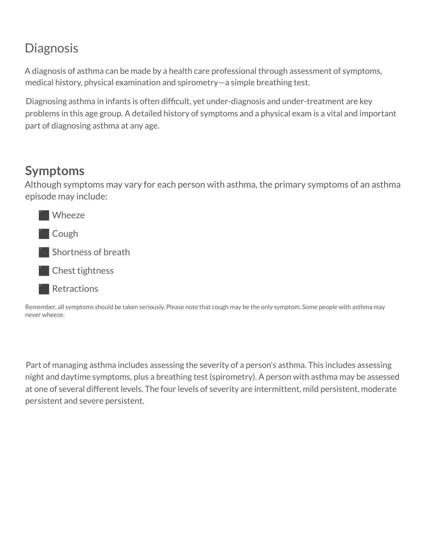# **Diagnosis**

A diagnosis of asthma can be made by a health care professional through assessment of symptoms, medical history, physical examination and spirometry—a simple breathing test.

Diagnosing asthma in infants is often difficult, yet under-diagnosis and under-treatment are key problems in this age group. A detailed history of symptoms and a physical exam is a vital and important part of diagnosing asthma at any age.

# **Symptoms**

Although symptoms may vary for each person with asthma, the primary symptoms of an asthma episode may include:



Remember, all symptoms should be taken seriously. Please note that cough may be the only symptom. Some people with asthma may never wheeze.

Part of managing asthma includes assessing the severity of a person's asthma. This includes assessing night and daytime symptoms, plus a breathing test (spirometry). A person with asthma may be assessed at one of several different levels. The four levels of severity are intermittent, mild persistent, moderate persistent and severe persistent.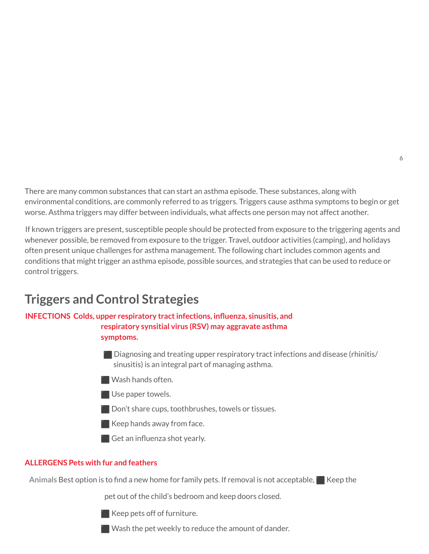There are many common substances that can start an asthma episode. These substances, along with environmental conditions, are commonly referred to as triggers. Triggers cause asthma symptoms to begin or get worse. Asthma triggers may differ between individuals, what affects one person may not affect another.

If known triggers are present, susceptible people should be protected from exposure to the triggering agents and whenever possible, be removed from exposure to the trigger. Travel, outdoor activities (camping), and holidays often present unique challenges for asthma management. The following chart includes common agents and conditions that might trigger an asthma episode, possible sources, and strategies that can be used to reduce or control triggers.

# **Triggers and Control Strategies**

### **INFECTIONS Colds, upper respiratory tractinfections, influenza, sinusitis, and respiratory synsitial virus (RSV) may aggravate asthma**

**symptoms.**

- Diagnosing and treating upper respiratory tract infections and disease (rhinitis/ sinusitis) is an integral part of managing asthma.
- ⬛ Wash hands often.
- **Use paper towels.**
- **◯ Don't share cups, toothbrushes, towels or tissues.**
- $\blacksquare$  Keep hands away from face.
- Get an influenza shot yearly.

#### **ALLERGENS Pets with fur and feathers**

Animals Best option is to find a new home for family pets. If removal is not acceptable, **Ne** Keep the

pet out of the child's bedroom and keep doors closed.



 $\blacksquare$  Keep pets off of furniture.

**E** Wash the pet weekly to reduce the amount of dander.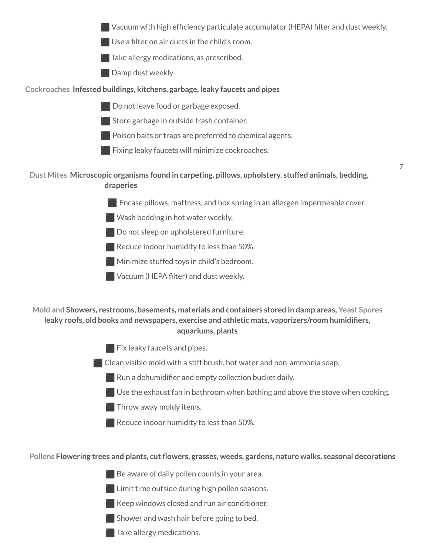⬛ Vacuum with high efficiency particulate accumulator (HEPA) filter and dust weekly.

- $\blacksquare$  Use a filter on air ducts in the child's room.
- $\blacksquare$  Take allergy medications, as prescribed.
- **Example Damp dust weekly**

#### **Cockroaches Infested buildings, kitchens, garbage, leaky faucets and pipes**

- ⬛ Do not leave food or garbage exposed.
- **◯ Store garbage in outside trash container.**
- $\blacksquare$  Poison baits or traps are preferred to chemical agents.
- $\blacksquare$  Fixing leaky faucets will minimize cockroaches.

#### **Dust Mites Microscopic organisms found in carpeting, pillows, upholstery, stuffed animals, bedding, draperies**

**Example 1** Encase pillows, mattress, and box spring in an allergen impermeable cover.

7

- $\blacksquare$  Wash bedding in hot water weekly.
- **Do not sleep on upholstered furniture.**
- $\blacksquare$  Reduce indoor humidity to less than 50%.
- **Ninimize stuffed toys in child's bedroom.**
- **EXTER Vacuum (HEPA filter) and dust weekly.**

#### **Mold and Showers, restrooms, basements, materials and containers stored in damp areas, Yeast Spores leaky roofs, old books and newspapers, exercise and athletic mats, vaporizers/room humidifiers, aquariums, plants**

- **Fix leaky faucets and pipes.**
- $\blacksquare$  Clean visible mold with a stiff brush, hot water and non-ammonia soap.
	- $\blacksquare$  Run a dehumidifier and empty collection bucket daily.
	- $\blacksquare$  Use the exhaust fan in bathroom when bathing and above the stove when cooking.
	- $\blacksquare$  Throw away moldy items.
	- Reduce indoor humidity to less than 50%.

#### **Pollens Flowering trees and plants, cut flowers, grasses, weeds, gardens, nature walks, seasonal decorations**

- $\blacksquare$  Be aware of daily pollen counts in your area.
- $\blacksquare$  Limit time outside during high pollen seasons.
- Keep windows closed and run air conditioner.
- $\blacksquare$  Shower and wash hair before going to bed.
	- Take allergy medications.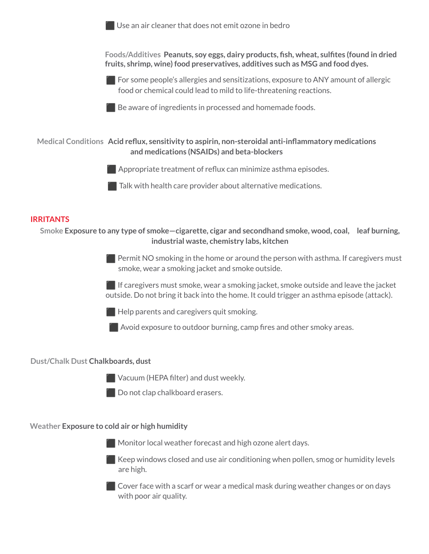

Keep windows closed and use air conditioning when pollen, smog or humidity levels are high.

⬛ Cover face with a scarf or wear a medical mask during weather changes or on days with poor air quality.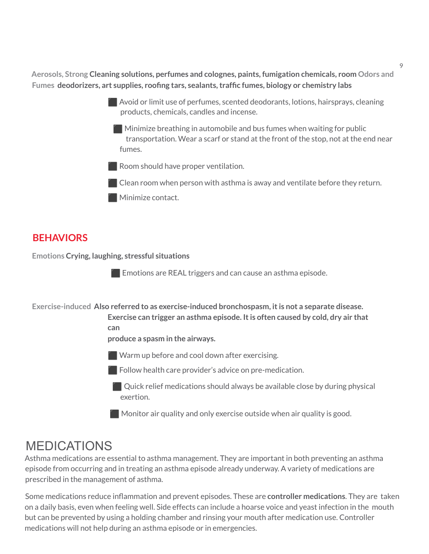**Aerosols, Strong Cleaning solutions, perfumes and colognes, paints, fumigation chemicals, room Odors and Fumes deodorizers, art supplies, roofing tars, sealants,traffic fumes, biology or chemistry labs**

- ⬛ Avoid or limit use of perfumes, scented deodorants, lotions, hairsprays, cleaning products, chemicals, candles and incense.
	- ⬛ Minimize breathing in automobile and bus fumes when waiting for public transportation. Wear a scarf or stand at the front of the stop, not at the end near fumes.
- **EXPLOON** Room should have proper ventilation.
- $\blacksquare$  Clean room when person with asthma is away and ventilate before they return.
- **Minimize contact.**

# **BEHAVIORS**

**Emotions Crying, laughing, stressful situations**

 $\blacksquare$  Emotions are REAL triggers and can cause an asthma episode.

**Exercise-induced Also referred to as exercise-induced bronchospasm, itis not a separate disease.**

**Exercise can trigger an asthma episode. Itis often caused by cold, dry air that can**

**produce a spasm in the airways.**

**Warm up before and cool down after exercising.** 

 $\blacksquare$  Follow health care provider's advice on pre-medication.

 $\Box$  Quick relief medications should always be available close by during physical exertion.

 $\blacksquare$  Monitor air quality and only exercise outside when air quality is good.

# MEDICATIONS

Asthma medications are essential to asthma management. They are important in both preventing an asthma episode from occurring and in treating an asthma episode already underway. A variety of medications are prescribed in the management of asthma.

Some medications reduce inflammation and prevent episodes. These are **controller medications**. They are taken on a daily basis, even when feeling well. Side effects can include a hoarse voice and yeast infection in the mouth but can be prevented by using a holding chamber and rinsing your mouth after medication use. Controller medications will not help during an asthma episode or in emergencies.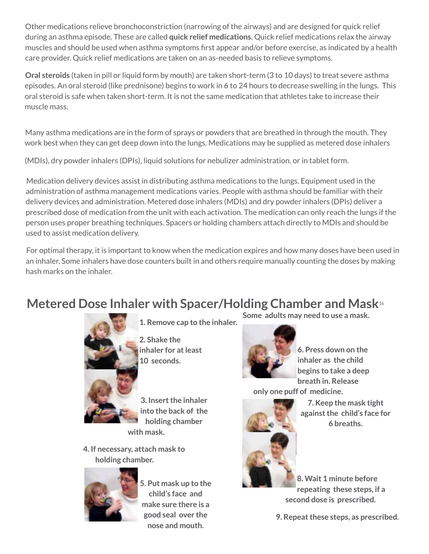Other medications relieve bronchoconstriction (narrowing of the airways) and are designed for quick relief during an asthma episode. These are called **quick relief medications**. Quick relief medications relax the airway muscles and should be used when asthma symptoms first appear and/or before exercise, as indicated by a health care provider. Quick relief medications are taken on an as-needed basis to relieve symptoms.

**Oral steroids** (taken in pill or liquid form by mouth) are taken short-term (3 to 10 days) to treat severe asthma episodes. An oral steroid (like prednisone) begins to work in 6 to 24 hours to decrease swelling in the lungs. This oral steroid is safe when taken short-term. It is not the same medication that athletes take to increase their muscle mass.

Many asthma medications are in the form of sprays or powders that are breathed in through the mouth. They work best when they can get deep down into the lungs. Medications may be supplied as metered dose inhalers

(MDIs), dry powder inhalers (DPIs), liquid solutions for nebulizer administration, or in tablet form.

Medication delivery devices assist in distributing asthma medications to the lungs. Equipment used in the administration of asthma management medications varies. People with asthma should be familiar with their delivery devices and administration. Metered dose inhalers (MDIs) and dry powder inhalers (DPIs) deliver a prescribed dose of medication from the unit with each activation. The medication can only reach the lungs if the person uses proper breathing techniques. Spacers or holding chambers attach directly to MDIs and should be used to assist medication delivery.

For optimal therapy, it is important to know when the medication expires and how many doses have been used in an inhaler. Some inhalers have dose counters built in and others require manually counting the doses by making hash marks on the inhaler.

# **Metered Dose Inhaler with Spacer/Holding Chamber and Mask**<sup>16</sup>



**1. Remove cap to the inhaler.**

**2. Shake the inhaler for atleast 10 seconds.**

**3. Insert the inhaler into the back of the holding chamber with mask.**

**4. If necessary, attach mask to holding chamber.**

![](_page_7_Picture_12.jpeg)

**5. Put mask up to the child's face and make sure there is a good seal over the nose and mouth.**

**Some adults may need to use a mask.**

![](_page_7_Picture_15.jpeg)

**6. Press down on the inhaler as the child begins to take a deep breath in. Release**

**only one puff of medicine.**

![](_page_7_Picture_18.jpeg)

**7. Keep the mask tight againstthe child's face for 6 breaths.**

**8. Wait 1 minute before repeating these steps, if a second dose is prescribed.**

**9. Repeatthese steps, as prescribed.**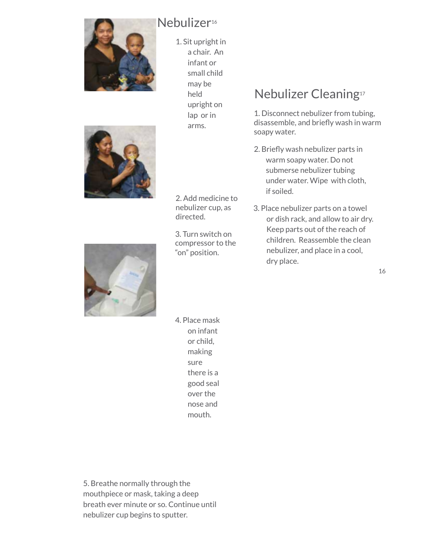![](_page_8_Picture_0.jpeg)

# Nebulizer<sup>16</sup>

1. Sit upright in a chair. An infant or small child may be held upright on lap or in arms.

2. Add medicine to nebulizer cup, as

3. Turn switch on compressor to the "on" position.

directed.

# Nebulizer Cleaning 17

1. Disconnect nebulizer from tubing, disassemble, and briefly wash in warm soapy water.

- 2. Briefly wash nebulizer parts in warm soapy water. Do not submerse nebulizer tubing under water. Wipe with cloth, if soiled.
- 3. Place nebulizer parts on a towel or dish rack, and allow to air dry. Keep parts out of the reach of children. Reassemble the clean nebulizer, and place in a cool, dry place.

![](_page_8_Picture_7.jpeg)

4. Place mask on infant or child, making sure there is a good seal over the nose and mouth.

5. Breathe normally through the mouthpiece or mask, taking a deep breath ever minute or so. Continue until nebulizer cup begins to sputter.

#### 16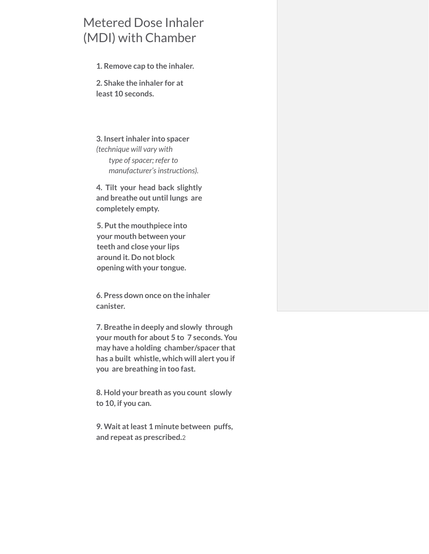# Metered Dose Inhaler (MDI) with Chamber

**1. Remove cap to the inhaler.**

**2. Shake the inhaler for at least 10 seconds.**

**3. Insertinhaler into spacer** *(technique will vary with type ofspacer; refer to manufacturer'sinstructions).*

**4. Tilt your head back slightly and breathe out until lungs are completely empty.**

**5. Putthe mouthpiece into your mouth between your teeth and close your lips around it. Do not block opening with your tongue.**

**6. Press down once on the inhaler canister.**

**7. Breathe in deeply and slowly through your mouth for about 5 to 7 seconds. You may have a holding chamber/spacer that has a built whistle, which will alert you if you are breathing in too fast.**

**8. Hold your breath as you count slowly to 10, if you can.**

**9. Wait atleast 1 minute between puffs, and repeat as prescribed.**2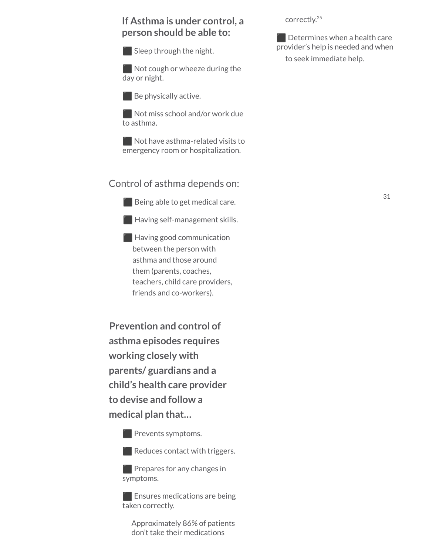### **If Asthma is under control, a person should be able to:**

 $\blacksquare$  Sleep through the night.

 $\blacksquare$  Not cough or wheeze during the day or night.

 $\blacksquare$  Be physically active.

Not miss school and/or work due to asthma.

Not have asthma-related visits to emergency room or hospitalization.

#### Control of asthma depends on:

**Solution** Being able to get medical care.

 $\blacksquare$  Having self-management skills.

 $\blacksquare$  Having good communication between the person with asthma and those around them (parents, coaches, teachers, child care providers, friends and co-workers).

**Prevention and control of asthma episodes requires working closely with parents/ guardians and a child's health care provider to devise and follow a medical plan that…**

**Prevents symptoms.** 

Reduces contact with triggers.

 $\Box$  Prepares for any changes in symptoms.

**Ensures medications are being** taken correctly.

Approximately 86% of patients don't take their medications

correctly. 25

**EXP** Determines when a health care provider's help is needed and when to seek immediate help.

31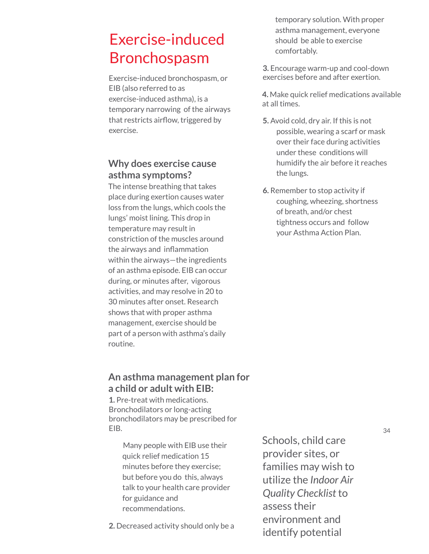# Exercise-induced Bronchospasm

Exercise-induced bronchospasm, or EIB (also referred to as exercise-induced asthma), is a temporary narrowing of the airways that restricts airflow, triggered by exercise.

### **Why does exercise cause asthma symptoms?**

The intense breathing that takes place during exertion causes water loss from the lungs, which cools the lungs' moist lining. This drop in temperature may result in constriction of the muscles around the airways and inflammation within the airways—the ingredients of an asthma episode. EIB can occur during, or minutes after, vigorous activities, and may resolve in 20 to 30 minutes after onset. Research shows that with proper asthma management, exercise should be part of a person with asthma's daily routine.

### **An asthma management plan for a child or adult with EIB:**

**1.** Pre-treat with medications. Bronchodilators or long-acting bronchodilators may be prescribed for EIB.

> Many people with EIB use their quick relief medication 15 minutes before they exercise; but before you do this, always talk to your health care provider for guidance and recommendations.

**2.** Decreased activity should only be a

temporary solution. With proper asthma management, everyone should be able to exercise comfortably.

**3.** Encourage warm-up and cool-down exercises before and after exertion.

**4.** Make quick relief medications available at all times.

- **5.** Avoid cold, dry air. If this is not possible, wearing a scarf or mask over their face during activities under these conditions will humidify the air before it reaches the lungs.
- **6.** Remember to stop activity if coughing, wheezing, shortness of breath, and/or chest tightness occurs and follow your Asthma Action Plan.

Schools, child care provider sites, or

assess their

environment and identify potential

families may wish to utilize the *Indoor Air Quality Checklist* to

34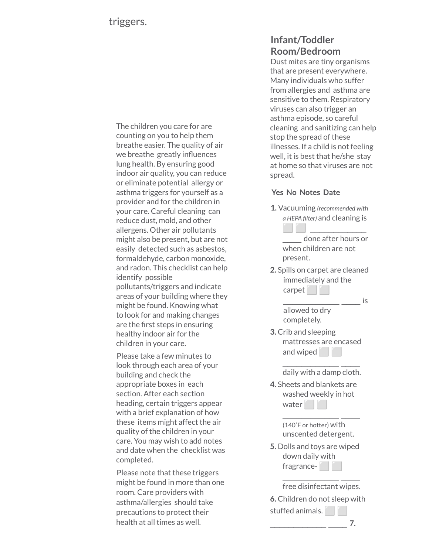The children you care for are counting on you to help them breathe easier. The quality of air we breathe greatly influences lung health. By ensuring good indoor air quality, you can reduce or eliminate potential allergy or asthma triggers for yourself as a provider and for the children in your care. Careful cleaning can reduce dust, mold, and other allergens. Other air pollutants might also be present, but are not easily detected such as asbestos, formaldehyde, carbon monoxide, and radon. This checklist can help identify possible pollutants/triggers and indicate areas of your building where they might be found. Knowing what to look for and making changes are the first steps in ensuring healthy indoor air for the children in your care.

Please take a few minutes to look through each area of your building and check the appropriate boxes in each section. After each section heading, certain triggers appear with a brief explanation of how these items might affect the air quality of the children in your care. You may wish to add notes and date when the checklist was completed.

Please note that these triggers might be found in more than one room. Care providers with asthma/allergies should take precautions to protect their health at all times as well.

# **Infant/Toddler Room/Bedroom**

Dust mites are tiny organisms that are present everywhere. Many individuals who suffer from allergies and asthma are sensitive to them. Respiratory viruses can also trigger an asthma episode, so careful cleaning and sanitizing can help stop the spread of these illnesses. If a child is not feeling well, it is best that he/she stay at home so that viruses are not spread.

#### **Yes No Notes Date**

**1.** Vacuuming *(recommended with a HEPA filter)* and cleaning is ⬜ ⬜ \_\_\_\_\_\_\_\_\_\_\_\_

done after hours or when children are not present.

**2.** Spills on carpet are cleaned immediately and the carpet

 $-$ is

allowed to dry completely.

**3.** Crib and sleeping mattresses are encased and wiped

> $\_$   $\_$   $\_$   $\_$   $\_$   $\_$   $\_$   $\_$   $\_$   $\_$ daily with a damp cloth.

**4.** Sheets and blankets are washed weekly in hot water **in** 

> (140˚F or hotter) with unscented detergent.

 $\_$   $\_$   $\_$   $\_$   $\_$   $\_$   $\_$   $\_$   $\_$   $\_$ 

**5.** Dolls and toys are wiped down daily with fragrance-

 $\_$   $\_$   $\_$   $\_$   $\_$   $\_$   $\_$   $\_$   $\_$   $\_$ free disinfectant wipes.

**6.** Children do not sleep with

stuffed animals.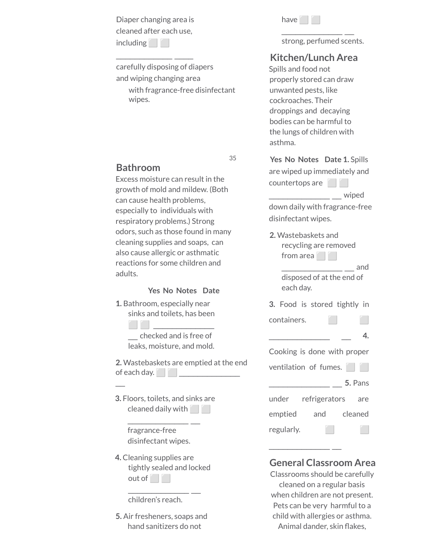Diaper changing area is cleaned after each use, including |

 $\_$   $\_$   $\_$   $\_$   $\_$   $\_$   $\_$   $\_$   $\_$   $\_$ 

carefully disposing of diapers and wiping changing area with fragrance-free disinfectant wipes.

| nave |  |  |
|------|--|--|

strong, perfumed scents.

 $\frac{1}{\sqrt{2}}$  ,  $\frac{1}{\sqrt{2}}$  ,  $\frac{1}{\sqrt{2}}$  ,  $\frac{1}{\sqrt{2}}$  ,  $\frac{1}{\sqrt{2}}$  ,  $\frac{1}{\sqrt{2}}$ 

### **Kitchen/Lunch Area**

Spills and food not properly stored can draw unwanted pests, like cockroaches. Their droppings and decaying bodies can be harmful to the lungs of children with asthma.

**Yes No Notes Date 1.** Spills are wiped up immediately and countertops are **i** 

down daily with fragrance-free disinfectant wipes.

\_\_\_\_\_\_\_\_\_\_\_\_\_ \_\_ wiped

**2.** Wastebaskets and recycling are removed from area

> \_\_\_\_\_\_\_\_\_\_\_\_\_ \_\_ and disposed of at the end of each day.

**3.** Food is stored tightly in

| containers. |  |  |
|-------------|--|--|
|-------------|--|--|

Cooking is done with proper ventilation of fumes. \_\_\_\_\_\_\_\_\_\_\_\_\_ \_\_ **5.** Pans under refrigerators are

| emptied    | and | cleaned |
|------------|-----|---------|
| regularly. |     |         |

 $\frac{1}{\sqrt{2}}$  ,  $\frac{1}{\sqrt{2}}$  ,  $\frac{1}{\sqrt{2}}$  ,  $\frac{1}{\sqrt{2}}$  ,  $\frac{1}{\sqrt{2}}$  ,  $\frac{1}{\sqrt{2}}$ 

### **General Classroom Area**

Classrooms should be carefully cleaned on a regular basis when children are not present. Pets can be very harmful to a child with allergies or asthma. Animal dander, skin flakes,

### **Bathroom**

Excess moisture can result in the growth of mold and mildew. (Both can cause health problems, especially to individuals with respiratory problems.) Strong odors, such as those found in many cleaning supplies and soaps, can also cause allergic or asthmatic reactions for some children and adults.

35

#### **Yes No Notes Date**

**1.** Bathroom, especially near sinks and toilets, has been

> ⬜ ⬜ \_\_\_\_\_\_\_\_\_\_\_\_\_ \_\_ checked and is free of leaks, moisture, and mold.

**2.** Wastebaskets are emptied at the end of each day.  $\Box$ 

**3.** Floors, toilets, and sinks are cleaned daily with $\Box$ 

 $\frac{1}{\sqrt{2}}$  ,  $\frac{1}{\sqrt{2}}$  ,  $\frac{1}{\sqrt{2}}$  ,  $\frac{1}{\sqrt{2}}$  ,  $\frac{1}{\sqrt{2}}$  ,  $\frac{1}{\sqrt{2}}$ 

fragrance-free disinfectant wipes.

 $\mathbb{Z}$ 

**4.** Cleaning supplies are tightly sealed and locked out of **i** 

 $\frac{1}{\sqrt{2}}$  ,  $\frac{1}{\sqrt{2}}$  ,  $\frac{1}{\sqrt{2}}$  ,  $\frac{1}{\sqrt{2}}$  ,  $\frac{1}{\sqrt{2}}$  ,  $\frac{1}{\sqrt{2}}$ 

children's reach.

**5.** Air fresheners, soaps and hand sanitizers do not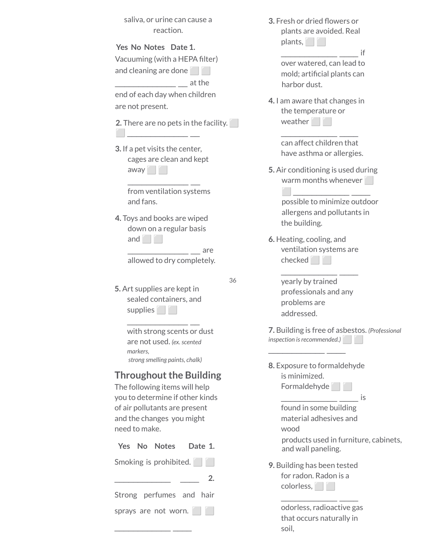| saliva, or urine can cause a |           |  |  |  |
|------------------------------|-----------|--|--|--|
|                              | reaction. |  |  |  |

**Yes No Notes Date 1.** Vacuuming (with a HEPA filter) and cleaning are done

\_\_\_\_\_\_\_\_\_\_\_\_\_ \_\_ at the

end of each day when children are not present.

**2.** There are no pets in the facility.  $\sim$   $\sim$   $\sim$   $\sim$ 

**3.** If a pet visits the center, cages are clean and kept away<br>
away  $\frac{1}{\sqrt{2}}$  ,  $\frac{1}{\sqrt{2}}$  ,  $\frac{1}{\sqrt{2}}$  ,  $\frac{1}{\sqrt{2}}$  ,  $\frac{1}{\sqrt{2}}$  ,  $\frac{1}{\sqrt{2}}$ 

> from ventilation systems and fans.

**4.** Toys and books are wiped down on a regular basis and  $\Box$ 

 $\frac{1}{\sqrt{1-\frac{1}{2}}}\frac{1}{\sqrt{1-\frac{1}{2}}}\$ are allowed to dry completely.

36

**5.** Art supplies are kept in sealed containers, and supplies |

 $\frac{1}{\sqrt{2}}$  ,  $\frac{1}{\sqrt{2}}$  ,  $\frac{1}{\sqrt{2}}$  ,  $\frac{1}{\sqrt{2}}$  ,  $\frac{1}{\sqrt{2}}$  ,  $\frac{1}{\sqrt{2}}$ 

with strong scents or dust are not used. *(ex.scented markers, strong smelling paints, chalk)*

### **Throughout the Building**

The following items will help you to determine if other kinds of air pollutants are present and the changes you might need to make.

| Yes No Notes Date 1.     |  |  |    |
|--------------------------|--|--|----|
| Smoking is prohibited.   |  |  |    |
|                          |  |  | 2. |
| Strong perfumes and hair |  |  |    |
| sprays are not worn.     |  |  |    |
|                          |  |  |    |

| 3. Fresh or dried flowers or<br>plants are avoided. Real<br>plants,<br>if     |
|-------------------------------------------------------------------------------|
| over watered, can lead to<br>mold; artificial plants can<br>harbor dust.      |
| 4. I am aware that changes in<br>the temperature or<br>weather <b>THE</b>     |
| can affect children that<br>have asthma or allergies.                         |
| 5. Air conditioning is used during<br>warm months whenever                    |
| possible to minimize outdoor<br>allergens and pollutants in<br>the building.  |
| 6. Heating, cooling, and<br>ventilation systems are<br>checked                |
| yearly by trained<br>professionals and any<br>problems are<br>addressed.      |
| 7. Building is free of asbestos. (Professional<br>inspection is recommended.) |
| 8. Exposure to formaldehyde<br>is minimized.<br>Formaldehyde                  |
| İS<br>found in some building<br>material adhesives and<br>wood                |
| products used in furniture, cabinets,<br>and wall paneling.                   |
| 9. Building has been tested<br>for radon. Radon is a<br>colorless, and        |
| odorless, radioactive gas<br>that occurs naturally in                         |

soil,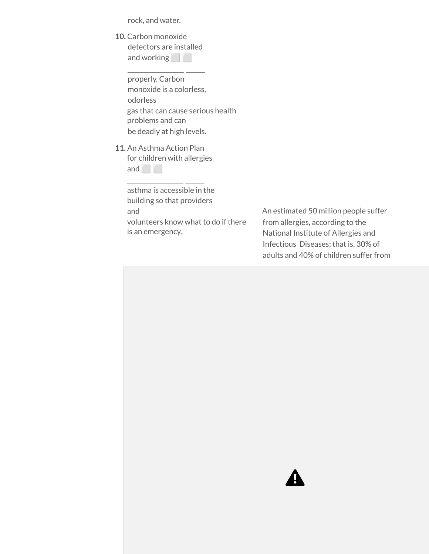rock, and water.

| <b>10.</b> Carbon monoxide |
|----------------------------|
| detectors are installed    |
| and working                |

 $\_$   $\_$   $\_$   $\_$   $\_$   $\_$   $\_$   $\_$   $\_$   $\_$ 

properly. Carbon monoxide is a colorless, odorless gas that can cause serious health problems and can be deadly at high levels.

#### **11.** An Asthma Action Plan

| for children with allergies |
|-----------------------------|
| and                         |

 $\_$   $\_$   $\_$   $\_$   $\_$   $\_$   $\_$   $\_$   $\_$   $\_$ 

asthma is accessible in the building so that providers and volunteers know what to do if there is an emergency.

An estimated 50 million people suffer from allergies, according to the National Institute of Allergies and Infectious Diseases; that is, 30% of adults and 40% of children suffer from

![](_page_15_Picture_7.jpeg)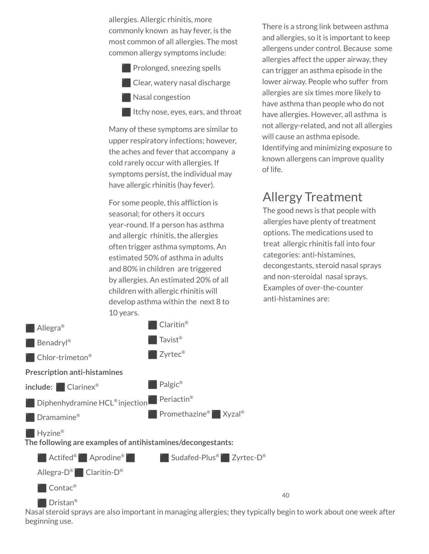allergies. Allergic rhinitis, more commonly known as hay fever, is the most common of all allergies. The most common allergy symptoms include:

- **Prolonged, sneezing spells**  $\blacksquare$  Clear, watery nasal discharge
- **Nasal congestion**

**If Itchy nose, eyes, ears, and throat** 

Many of these symptoms are similar to upper respiratory infections; however, the aches and fever that accompany a cold rarely occur with allergies. If symptoms persist, the individual may have allergic rhinitis (hay fever).

For some people, this affliction is seasonal; for others it occurs year-round. If a person has asthma and allergic rhinitis, the allergies often trigger asthma symptoms. An estimated 50% of asthma in adults and 80% in children are triggered by allergies. An estimated 20% of all children with allergic rhinitis will develop asthma within the next 8 to 10 years.

There is a strong link between asthma and allergies, so it is important to keep allergens under control. Because some allergies affect the upper airway, they can trigger an asthma episode in the lower airway. People who suffer from allergies are six times more likely to have asthma than people who do not have allergies. However, all asthma is not allergy-related, and not all allergies will cause an asthma episode. Identifying and minimizing exposure to known allergens can improve quality of life.

# Allergy Treatment

The good news is that people with allergies have plenty of treatment options. The medications used to treat allergic rhinitis fall into four categories: anti-histamines, decongestants, steroid nasal sprays and non-steroidal nasal sprays. Examples of over-the-counter anti-histamines are:

![](_page_16_Figure_9.jpeg)

Nasal steroid sprays are also important in managing allergies; they typically begin to work about one week after beginning use.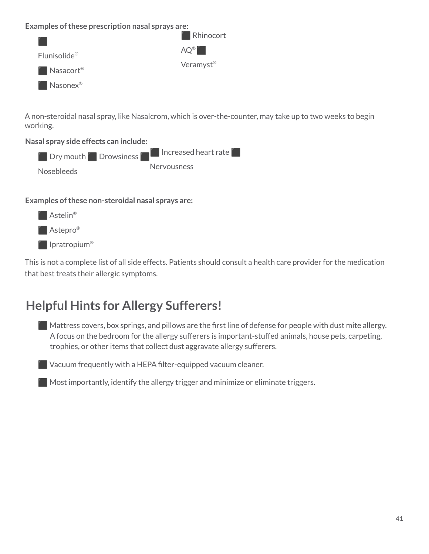#### **Examples ofthese prescription nasal sprays are:**

![](_page_17_Figure_1.jpeg)

A non-steroidal nasal spray, like Nasalcrom, which is over-the-counter, may take up to two weeks to begin working.

#### **Nasal spray side effects can include:**

![](_page_17_Figure_4.jpeg)

#### **Examples ofthese non-steroidal nasal sprays are:**

![](_page_17_Figure_6.jpeg)

This is not a complete list of all side effects. Patients should consult a health care provider for the medication that best treats their allergic symptoms.

# **Helpful Hints for Allergy Sufferers!**

 $\blacksquare$  Mattress covers, box springs, and pillows are the first line of defense for people with dust mite allergy. A focus on the bedroom for the allergy sufferers is important-stuffed animals, house pets, carpeting, trophies, or other items that collect dust aggravate allergy sufferers.

 $\blacksquare$  Vacuum frequently with a HEPA filter-equipped vacuum cleaner.

 $\blacksquare$  Most importantly, identify the allergy trigger and minimize or eliminate triggers.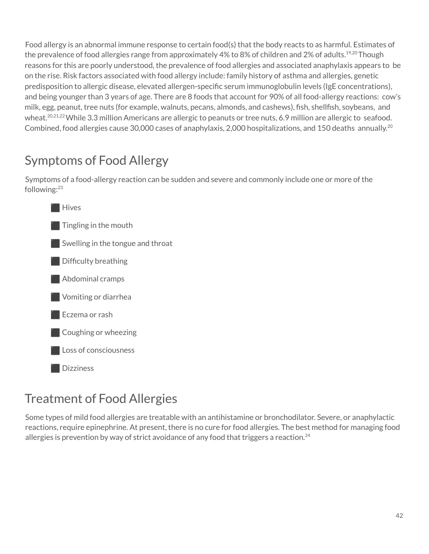Food allergy is an abnormal immune response to certain food(s) that the body reacts to as harmful. Estimates of the prevalence of food allergies range from approximately 4% to 8% of children and 2% of adults.<sup>19,20</sup> Though reasons for this are poorly understood, the prevalence of food allergies and associated anaphylaxis appears to be on the rise. Risk factors associated with food allergy include: family history of asthma and allergies, genetic predisposition to allergic disease, elevated allergen-specific serum immunoglobulin levels (IgE concentrations), and being younger than 3 years of age. There are 8 foods that account for 90% of all food-allergy reactions: cow's milk, egg, peanut, tree nuts (for example, walnuts, pecans, almonds, and cashews), fish, shellfish, soybeans, and wheat.<sup>20,21,22</sup> While 3.3 million Americans are allergic to peanuts or tree nuts, 6.9 million are allergic to seafood. Combined, food allergies cause 30,000 cases of anaphylaxis, 2,000 hospitalizations, and 150 deaths annually. $^{20}$ 

# Symptoms of Food Allergy

Symptoms of a food-allergy reaction can be sudden and severe and commonly include one or more of the following:<sup>23</sup>

![](_page_18_Figure_3.jpeg)

# Treatment of Food Allergies

Some types of mild food allergies are treatable with an antihistamine or bronchodilator. Severe, or anaphylactic reactions, require epinephrine. At present, there is no cure for food allergies. The best method for managing food allergies is prevention by way of strict avoidance of any food that triggers a reaction. $^{24}$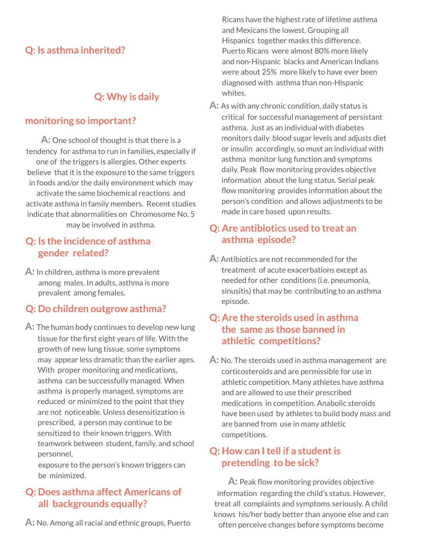### **Q: Is asthma inherited?**

### $Q:$  Why is daily

### **monitoring so important?**

**A:** One school of thought is that there is a tendency for asthma to run in families, especially if one of the triggers is allergies. Other experts believe that it is the exposure to the same triggers in foods and/or the daily environment which may activate the same biochemical reactions and activate asthma in family members. Recent studies indicate that abnormalities on Chromosome No. 5 may be involved in asthma.

### **Q: Is the incidence of asthma gender related?**

**A:** In children, asthma is more prevalent among males. In adults, asthma is more prevalent among females.

### **Q: Do children outgrow asthma?**

**A:** The human body continues to develop new lung tissue for the first eight years of life. With the growth of new lung tissue, some symptoms may appear less dramatic than the earlier ages. With proper monitoring and medications, asthma can be successfully managed. When asthma is properly managed, symptoms are reduced or minimized to the point that they are not noticeable. Unless desensitization is prescribed, a person may continue to be sensitized to their known triggers. With teamwork between student, family, and school personnel,

exposure to the person's known triggers can be minimized.

### **Q: Does asthma affect Americans of all backgrounds equally?**

**A:** No. Among all racial and ethnic groups, Puerto

Ricans have the highest rate of lifetime asthma and Mexicans the lowest. Grouping all Hispanics together masks this difference. Puerto Ricans were almost 80% more likely and non-Hispanic blacks and American Indians were about 25% more likely to have ever been diagnosed with asthma than non-Hispanic whites.

**A:** As with any chronic condition, daily status is critical for successful management of persistant asthma. Just as an individual with diabetes monitors daily blood sugar levels and adjusts diet or insulin accordingly, so must an individual with asthma monitor lung function and symptoms daily. Peak flow monitoring provides objective information about the lung status. Serial peak flow monitoring provides information about the person's condition and allows adjustments to be made in care based upon results.

### **Q: Are antibiotics used to treat an asthma episode?**

**A:** Antibiotics are not recommended for the treatment of acute exacerbations except as needed for other conditions (i.e. pneumonia, sinusitis) that may be contributing to an asthma episode.

### **Q: Are the steroids used in asthma the same as those banned in athletic competitions?**

**A:** No. The steroids used in asthma management are corticosteroids and are permissible for use in athletic competition. Many athletes have asthma and are allowed to use their prescribed medications in competition. Anabolic steroids have been used by athletes to build body mass and are banned from use in many athletic competitions.

### **Q: How can Itell if a studentis pretending to be sick?**

**A:** Peak flow monitoring provides objective information regarding the child's status. However, treat all complaints and symptoms seriously. A child knows his/her body better than anyone else and can often perceive changes before symptoms become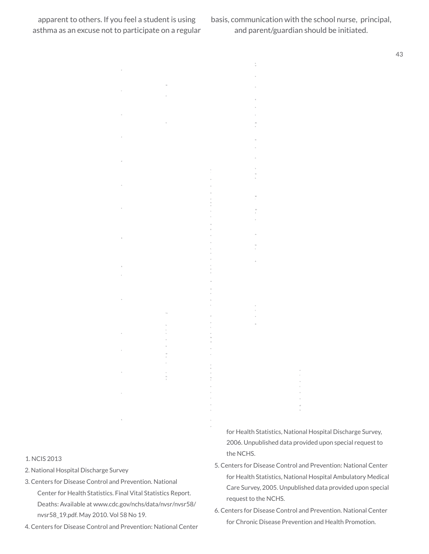basis, communication with the school nurse, principal, and parent/guardian should be initiated.

h w

de

N

ta

W 10

m ht

D

43

1. NCIS 2013

- 2. National Hospital Discharge Survey
- 3. Centers for Disease Control and Prevention. National Center for Health Statistics. Final Vital Statistics Report. Deaths: Available at www.cdc.gov/nchs/data/nvsr/nvsr58/ nvsr58\_19.pdf. May 2010. Vol 58 No 19.

ih

m

m

4. Centers for Disease Control and Prevention: National Center

for Health Statistics, National Hospital Discharge Survey, 2006. Unpublished data provided upon special request to the NCHS.

- 5. Centers for Disease Control and Prevention: National Center for Health Statistics, National Hospital Ambulatory Medical Care Survey, 2005. Unpublished data provided upon special request to the NCHS.
- 6. Centers for Disease Control and Prevention. National Center for Chronic Disease Prevention and Health Promotion.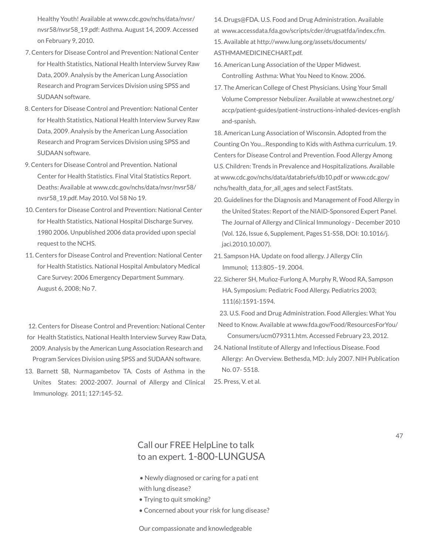Healthy Youth! Available at www.cdc.gov/nchs/data/nvsr/ nvsr58/nvsr58\_19.pdf: Asthma. August 14, 2009. Accessed on February 9, 2010.

- 7. Centers for Disease Control and Prevention: National Center for Health Statistics, National Health Interview Survey Raw Data, 2009. Analysis by the American Lung Association Research and Program Services Division using SPSS and SUDAAN software.
- 8. Centers for Disease Control and Prevention: National Center for Health Statistics, National Health Interview Survey Raw Data, 2009. Analysis by the American Lung Association Research and Program Services Division using SPSS and SUDAAN software.
- 9. Centers for Disease Control and Prevention. National Center for Health Statistics. Final Vital Statistics Report. Deaths: Available at www.cdc.gov/nchs/data/nvsr/nvsr58/ nvsr58\_19.pdf. May 2010. Vol 58 No 19.
- 10. Centers for Disease Control and Prevention: National Center for Health Statistics, National Hospital Discharge Survey, 1980 2006. Unpublished 2006 data provided upon special request to the NCHS.
- 11. Centers for Disease Control and Prevention: National Center for Health Statistics. National Hospital Ambulatory Medical Care Survey: 2006 Emergency Department Summary. August 6, 2008; No 7.

12. Centers for Disease Control and Prevention: National Center for Health Statistics, National Health Interview Survey Raw Data, 2009. Analysis by the American Lung Association Research and Program Services Division using SPSS and SUDAAN software.

13. Barnett SB, Nurmagambetov TA. Costs of Asthma in the Unites States: 2002-2007. Journal of Allergy and Clinical Immunology. 2011; 127:145-52.

14. Drugs@FDA. U.S. Food and Drug Administration. Available at www.accessdata.fda.gov/scripts/cder/drugsatfda/index.cfm. 15. Available at http://www.lung.org/assets/documents/ ASTHMAMEDICINECHART.pdf.

- 16. American Lung Association of the Upper Midwest. Controlling Asthma: What You Need to Know. 2006.
- 17. The American College of Chest Physicians. Using Your Small Volume Compressor Nebulizer. Available at www.chestnet.org/ accp/patient-guides/patient-instructions-inhaled-devices-english and-spanish.

18. American Lung Association of Wisconsin. Adopted from the Counting On You…Responding to Kids with Asthma curriculum. 19. Centers for Disease Control and Prevention. Food Allergy Among U.S. Children: Trends in Prevalence and Hospitalizations. Available at www.cdc.gov/nchs/data/databriefs/db10.pdf or www.cdc.gov/ nchs/health\_data\_for\_all\_ages and select FastStats.

- 20. Guidelines for the Diagnosis and Management of Food Allergy in the United States: Report of the NIAID-Sponsored Expert Panel. The Journal of Allergy and Clinical Immunology - December 2010 (Vol. 126, Issue 6, Supplement, Pages S1-S58, DOI: 10.1016/j. jaci.2010.10.007).
- 21. Sampson HA. Update on food allergy. J Allergy Clin Immunol; 113:805–19. 2004.
- 22. Sicherer SH, Muñoz-Furlong A, Murphy R, Wood RA, Sampson HA. Symposium: Pediatric Food Allergy. Pediatrics 2003; 111(6):1591-1594.
- 23. U.S. Food and Drug Administration. Food Allergies: What You Need to Know. Available at www.fda.gov/Food/ResourcesForYou/ Consumers/ucm079311.htm. Accessed February 23, 2012.
- 24. National Institute of Allergy and Infectious Disease. Food Allergy: An Overview. Bethesda, MD: July 2007. NIH Publication No. 07- 5518.

25. Press, V. et al.

### Call our FREE HelpLine to talk to an expert. 1-800-LUNGUSA

- Newly diagnosed or caring for a pati ent with lung disease?
- Trying to quit smoking?
- Concerned about your risk for lung disease?

#### 47